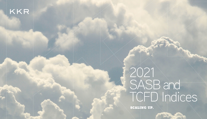# KKR

# 2021<br>SASB and<br>TCFD Indices

**SCALING UP.**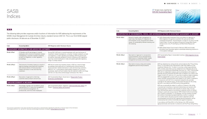| Code         | <b>Accounting Metric</b>                                                                                                                                                                                     | KKR Response and/or Disclosure Source                                                                                                                                                                                                                                                                                                                                                                                                       |  |
|--------------|--------------------------------------------------------------------------------------------------------------------------------------------------------------------------------------------------------------|---------------------------------------------------------------------------------------------------------------------------------------------------------------------------------------------------------------------------------------------------------------------------------------------------------------------------------------------------------------------------------------------------------------------------------------------|--|
|              | <b>TRANSPARENT INFORMATION &amp; FAIR ADVICE FOR CUSTOMERS</b>                                                                                                                                               |                                                                                                                                                                                                                                                                                                                                                                                                                                             |  |
| FN-AC-270a.1 | (1) Number and (2) percentage of covered<br>employees with a record of investment-related<br>investigations, consumer-initiated complaints,<br>private civil litigations, or other regulatory<br>proceedings | During 2021, KKR had no covered employees with new disclosures of<br>investment-related investigations, consumer-initiated complaints, private<br>civil litigations, or other regulatory proceedings. KKR has policies and<br>procedures reasonably designed to ensure compliance with regulations<br>requiring covered employees to make and update applicable regulatory<br>filings in a timely manner.                                   |  |
| FN-AC-270a.2 | Total amount of monetary losses as a result of<br>legal proceedings associated with marketing<br>and communications of financial product-<br>related information to new and returning<br>customers           | KKR did not sustain any monetary losses in 2021 as a result of legal<br>proceedings associated with our marketing and communications of<br>financial product-related information to new and returning customers.<br>KKR & Co. Inc., as the publicly listed holding company for its various<br>businesses, reports all such matters that are material to KKR in its filings<br>with the U.S. Securities and Exchange Commission (the "SEC"). |  |
| FN-AC-270a.3 | Description of approach to informing<br>customers about products and services                                                                                                                                | 2021 Sustainability Report, Governance > Responsible Product<br>Governance and Marketing                                                                                                                                                                                                                                                                                                                                                    |  |
|              | <b>EMPLOYEE DIVERSITY &amp; INCLUSION</b>                                                                                                                                                                    |                                                                                                                                                                                                                                                                                                                                                                                                                                             |  |
| FN-AC-330a.1 | Percentage of gender and racial/ethnic group<br>representation for (1) executive management,<br>(2) non-executive management, (3)<br>professionals, and (4) all other employees                              | 2021 Sustainability Report, Appendix > KKR-level ESG Data Tables and<br>People > Diversity, Equity, and Inclusion                                                                                                                                                                                                                                                                                                                           |  |

### **Code Accounting Metric KKR Response and/or Disclosure Source**

### GOVERNANCE FACTORS IN INVESTMENT MANAGEMENT & ADVISORY

The following table provides responses and/or locations of information for KKR addressing the requirements of the SASB's Asset Management & Custody Activities industry standard (version 2021-12). This is our third SASB-aligned public disclosure. All data are as of December 31, 2021.<sup>1</sup>

| Code         | <b>Accounting Metric</b>                                                                                                                                                                                 |  |
|--------------|----------------------------------------------------------------------------------------------------------------------------------------------------------------------------------------------------------|--|
|              | INCORPORATION OF ENVIRONMENTAL, SOCIAL, AND GO                                                                                                                                                           |  |
| FN-AC-410a.1 | Amount of assets under management, by<br>asset class, that employ (1) integration of<br>environmental, social, and governance (ESG)<br>issues; (2) sustainability themed investing; and<br>(3) screening |  |
| FN-AC-410a.2 | Description of approach to incorporation<br>of environmental, social, and governance<br>(ESG) factors in investment and/or wealth<br>management processes and strategies                                 |  |
| FN-AC-410a.3 | Description of proxy voting and investee<br>engagement policies and procedures                                                                                                                           |  |

The inclusion of information in this report should not be construed as a characterization regarding the materiality or financial impact of that information.<br>See filings by KKR & Co. Inc. with the U.S. Securities and Exchan

| G)<br>and | (1) KKR's Responsible Investment Policy articulates our approach to<br>ESG integration through the investment life cycle across KKR's<br>investment businesses. The businesses in scope for our policy include<br>Credit (Public, Private, and Special Situations), Energy Real Assets,<br>Infrastructure, Core, Private Equity, and Real Estate (Equity and<br>Credit)<br>(2) KKR's Global Impact Fund closed in February 2020 and includes<br>\$1.3 billion total committed capital to businesses delivering solutions to<br>critical global challenges.                                                                                                                                                                                                                                                                                                                                                                                                                                    |
|-----------|-----------------------------------------------------------------------------------------------------------------------------------------------------------------------------------------------------------------------------------------------------------------------------------------------------------------------------------------------------------------------------------------------------------------------------------------------------------------------------------------------------------------------------------------------------------------------------------------------------------------------------------------------------------------------------------------------------------------------------------------------------------------------------------------------------------------------------------------------------------------------------------------------------------------------------------------------------------------------------------------------|
|           | 2021 Sustainability Report, Sustainable Investing > ESG Integration Across<br><b>Asset Classes</b>                                                                                                                                                                                                                                                                                                                                                                                                                                                                                                                                                                                                                                                                                                                                                                                                                                                                                            |
|           | KKR has adopted proxy voting policies and procedures (the "Proxy Voting<br>Policy") in accordance with requirements under Rule 206(4)-6 of the<br>Investment Advisers Act. To assist in our proxy-voting responsibilities,<br>KKR currently subscribes to proxy-related services offered by the proxy<br>advisory firm Institutional Shareholder Services, Inc. ("ISS"). ISS provides<br>KKR with its independent analysis and recommendation with respect to<br>generally all proxy proposals that KKR votes on behalf of our Clients, with<br>respect to both U.S. and non-U.S. securities of publicly traded companies.<br>KKR has engaged ISS to assist with our proxy voting, however, KKR<br>retains ultimate voting discretion with respect to our Clients. Compliance,<br>in conjunction with the Firm's investment analyst(s) who provides<br>coverage for the relevant issuer, will document the basis for the voting<br>decision in accordance with KKR's proxy voting guidelines. |
|           | KKR may occasionally be subject to conflicts of interest in the voting<br>of proxies due to business or personal relationships we maintain with<br>persons having an interest in the outcome of certain votes. If at any<br>time, KKR becomes aware of an existing or potential conflict of interest<br>relating to a particular proxy proposal, KKR's Global Conflicts Committee<br>(the "Conflicts Committee"), or its designee, must be notified. Provided<br>the Conflicts Committee has determined that a conflict or potential<br>for a conflict exists, the proxy must be voted in alignment with the<br>recommendation set forth by ISS. Appropriate documentation will be<br>maintained by the Conflicts Committee and Legal & Compliance.                                                                                                                                                                                                                                           |
|           | In accordance with Rule 204-2 of the Advisers Act, KKR maintains<br>appropriate books and records in connection with the Proxy Voting Policy.                                                                                                                                                                                                                                                                                                                                                                                                                                                                                                                                                                                                                                                                                                                                                                                                                                                 |

# <span id="page-1-0"></span>SASB Indices

### **KKR**

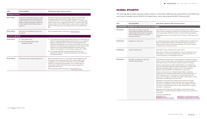<span id="page-2-0"></span>

| Code                    | <b>Accounting Metric</b>                                                                                                                                                                                                                                 | KKR Response and/or Disclosure Source                                                                                                                                                                                                                                                                                                                                                                                                                                                                                                                                                                                                                                                           |  |  |
|-------------------------|----------------------------------------------------------------------------------------------------------------------------------------------------------------------------------------------------------------------------------------------------------|-------------------------------------------------------------------------------------------------------------------------------------------------------------------------------------------------------------------------------------------------------------------------------------------------------------------------------------------------------------------------------------------------------------------------------------------------------------------------------------------------------------------------------------------------------------------------------------------------------------------------------------------------------------------------------------------------|--|--|
| <b>BUSINESS ETHICS</b>  |                                                                                                                                                                                                                                                          |                                                                                                                                                                                                                                                                                                                                                                                                                                                                                                                                                                                                                                                                                                 |  |  |
| FN-AC-510a.1            | Total amount of monetary losses as a result<br>of legal proceedings associated with fraud,<br>insider trading, anti-trust, anti-competitive<br>behavior, market manipulation, malpractice,<br>or other related financial industry laws or<br>regulations | KKR did not sustain any monetary losses in 2021 as a result of legal<br>proceedings associated with fraud, insider trading, anti-trust, anti-<br>competitive behavior, market manipulation, malpractice, or other related<br>financial industry laws or regulations. KKR & Co. Inc. (NYSE: KKR) is the<br>holding company for the KKR businesses, and as a public company, KKR<br>reports all such matters that are material to KKR in our filings with the<br>SEC.                                                                                                                                                                                                                             |  |  |
| FN-AC-510a.2            | Description of whistleblower policies and<br>procedures                                                                                                                                                                                                  | 2021 Sustainability Report, Governance > Business Ethics                                                                                                                                                                                                                                                                                                                                                                                                                                                                                                                                                                                                                                        |  |  |
| <b>ACTIVITY METRICS</b> |                                                                                                                                                                                                                                                          |                                                                                                                                                                                                                                                                                                                                                                                                                                                                                                                                                                                                                                                                                                 |  |  |
| <b>FN-AC-000.A</b>      | (1) Total registered and<br>(2) total unregistered assets under<br>management (AUM)                                                                                                                                                                      | Total registered AUM was approximately \$19 billion as of December 31,<br>(1)<br>2021. Our registered AUM includes pooled funds that, in our judgment,<br>qualify as "registered AUM" <sup>2</sup> as the term has been defined in the<br>SASB Asset Management & Custody Activities Standard. These funds<br>include (i) one real estate equity-oriented fund, (ii) two credit-oriented<br>funds and (iii) certain business development companies that are<br>subject to the regulations of the Investment Company Act of 1940.<br>(2) Total unregistered AUM was approximately \$452 billion as of<br>December 31, 2021. Our unregistered AUM equals total AUM minus<br>total registered AUM. |  |  |
| <b>FN-AC-000.B</b>      | Total assets under custody and supervision                                                                                                                                                                                                               | We have renamed this metric to "total assets under management" from<br>"total assets under custody and supervision" because assets under<br>management is a more relevant activity metric for asset managers,<br>and KKR is an alternative asset manager, not a custodian bank. As<br>of December 31, 2021, KKR had total assets under management of<br>approximately \$471 billion.<br>2021 Sustainability Report, Introduction > About KKR & Co. Inc.                                                                                                                                                                                                                                         |  |  |

| Code<br><b>Accounting Metric</b> |                                                                                                                                                                                                  | Global Atlantic Response and/or Disclosure Source                                                                                                                                                                                                                                                                                                     |  |
|----------------------------------|--------------------------------------------------------------------------------------------------------------------------------------------------------------------------------------------------|-------------------------------------------------------------------------------------------------------------------------------------------------------------------------------------------------------------------------------------------------------------------------------------------------------------------------------------------------------|--|
|                                  | TRANSPARENT INFORMATION & FAIR ADVICE FOR CUSTOMERS                                                                                                                                              |                                                                                                                                                                                                                                                                                                                                                       |  |
| FN-IN-270a.1                     | Total amount of monetary losses as a<br>result of legal proceedings associated with<br>marketing and communication of insurance<br>product-related information to new and<br>returning customers | Global Atlantic did not sustain any material monetary losses in 2021 as a<br>result of legal proceedings associated with its marketing and communications<br>of insurance product-related information to new and returning customers.<br>Global Atlantic reports all such matters that are material in KKR's filings with<br>the SEC.                 |  |
| FN-IN-270a.2                     | Complaints-to-claims ratio                                                                                                                                                                       | For additional information, please refer to the NAIC National Complaint Index<br>Report for Global Atlantic entities, including Forethought Life Insurance<br>Company and Accordia Life and Annuity Company, the company's primary<br>issuing entities of insurance products.                                                                         |  |
| FN-IN-270a.3                     | Customer retention rate                                                                                                                                                                          | Global Atlantic does not disclose this specific metric.                                                                                                                                                                                                                                                                                               |  |
|                                  |                                                                                                                                                                                                  | Delivering a consistent customer experience is a key corporate priority for<br>Global Atlantic. It continues to explore ways to improve and invest in its<br>customer experience, including digital interaction.                                                                                                                                      |  |
| FN-IN-270a.4                     | Description of approach to informing<br>customers about products                                                                                                                                 | Global Atlantic primarily offers insurance products to individuals through a<br>network of banks, broker-dealers, and independent marketing organizations.<br>Global Atlantic does not sell insurance products directly to individuals.                                                                                                               |  |
|                                  |                                                                                                                                                                                                  | Product communications are held to Global Atlantic's own standards, as<br>well as the standards of regulatory agencies and bodies, including, where<br>applicable: State Departments of Insurance, SEC, Financial Industry<br>Regulatory Authority (FINRA), and Department of Labor (DOL).                                                            |  |
|                                  |                                                                                                                                                                                                  | Product communications are created by Global Atlantic's Marketing<br>Organization, then reviewed and approved by the Advertising Review Unit<br>within Compliance prior to external use. The Advertising Review Unit<br>obtains input and support, as needed, from subject-matter experts in other<br>departments, including Legal, Tax, and Product. |  |
|                                  |                                                                                                                                                                                                  | Depending on the product type, related communications may include<br>information on suitability of product offerings; costs; terms, conditions,<br>and exclusions; explanation of claims process; and, availability of further<br>information, via financial professional or agent, Global Atlantic's website,<br>call center, or online portal.      |  |
|                                  |                                                                                                                                                                                                  | Depending on the product type, Global Atlantic communicates product<br>performance to customers through a statement of account on a quarterly or<br>annual basis.                                                                                                                                                                                     |  |
|                                  |                                                                                                                                                                                                  | Customer-Facing Websites:<br>globalatlantic.com/retirement-annuities<br>globalatlantic.com<br>globalatlantic.com/preneed-life-insurance<br>globalatlantic.com/life-insurance                                                                                                                                                                          |  |

### **GLOBAL ATLANTIC**

The following table provides responses and/or locations of information addressing the requirements of the SASB Insurance Industry standard (version 2018-10) for Global Atlantic,which was acquired by KKR in February 2021.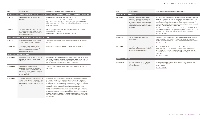<span id="page-3-0"></span>

| Code         | <b>Accounting Metric</b>                                                                                                                                                                                                                | Global Atlantic Response and/or Disclosure Source                                                                                                                                                                                                                                                                                                                                                                                                                                                                                                                                                                                                                                                                                                                                                                                                                                                     | Code                                   | <b>Accounting Metric</b>                                                                                                                                                                                                                                                                   |
|--------------|-----------------------------------------------------------------------------------------------------------------------------------------------------------------------------------------------------------------------------------------|-------------------------------------------------------------------------------------------------------------------------------------------------------------------------------------------------------------------------------------------------------------------------------------------------------------------------------------------------------------------------------------------------------------------------------------------------------------------------------------------------------------------------------------------------------------------------------------------------------------------------------------------------------------------------------------------------------------------------------------------------------------------------------------------------------------------------------------------------------------------------------------------------------|----------------------------------------|--------------------------------------------------------------------------------------------------------------------------------------------------------------------------------------------------------------------------------------------------------------------------------------------|
|              |                                                                                                                                                                                                                                         | INCORPORATION OF ENVIRONMENTAL, SOCIAL, AND GOVERNANCE FACTORS IN INVESTMENT MANAGEMENT & ADVISORY                                                                                                                                                                                                                                                                                                                                                                                                                                                                                                                                                                                                                                                                                                                                                                                                    | <b>SYSTEMIC RISK MANAGEMENT</b>        |                                                                                                                                                                                                                                                                                            |
| FN-IN-410a.1 | Total invested assets, by industry and<br>asset class                                                                                                                                                                                   | \$124 billion total investments as of December 31, 2021.<br>For more information on Global Atlantic's total investments, see KKR & Co.<br>Inc.'s Annual Report on Form 10-K for the fiscal year ended December 31,<br>2021, in particular Note 7 of the Notes to Consolidated Financial Statements.<br>KKR 2021 Form 10-K                                                                                                                                                                                                                                                                                                                                                                                                                                                                                                                                                                             | FN-IN-550a.1                           | Exposure to derivative instruments by<br>category: (1) total potential exposure to<br>noncentrally cleared derivatives, (2) total<br>fair value of acceptable collateral posted<br>with the Central Clearinghouse, and (3)<br>total potential exposure to centrally cleared<br>derivatives |
| FN-IN-410a.2 | Description of approach to incorporation<br>of environmental, social, and governance<br>(ESG) factors in investment management<br>processes and strategies                                                                              | Review the Responsible Investment Statement on page 13 of the Global<br>Atlantic 2021 ESG Report.<br>Global Atlantic ESG website: globalatlantic.com/esg                                                                                                                                                                                                                                                                                                                                                                                                                                                                                                                                                                                                                                                                                                                                              |                                        |                                                                                                                                                                                                                                                                                            |
|              | POLICIES DESIGNED TO INCENTIVIZE RESPONSIBLE BEHAVIOR                                                                                                                                                                                   |                                                                                                                                                                                                                                                                                                                                                                                                                                                                                                                                                                                                                                                                                                                                                                                                                                                                                                       | FN-IN-550a.2                           | Total fair value of securities lending                                                                                                                                                                                                                                                     |
| FN-IN-410b.1 | Net premiums written related to energy<br>efficiency and low-carbon technology                                                                                                                                                          | This topic does not apply to Global Atlantic, a retirement and life insurance<br>company.                                                                                                                                                                                                                                                                                                                                                                                                                                                                                                                                                                                                                                                                                                                                                                                                             |                                        | collateral assets                                                                                                                                                                                                                                                                          |
| FN-IN-410b.2 | Discussion of products and/or product<br>features that incentivize health, safety,<br>and/or environmentally responsible<br>actions and/or behaviors                                                                                    | No products and/or product features to discuss as of December 31, 2021.                                                                                                                                                                                                                                                                                                                                                                                                                                                                                                                                                                                                                                                                                                                                                                                                                               | FN-IN-550a.3                           | Description of approach to managing capital<br>and liquidity-related risks associated with<br>systemic non-insurance activities                                                                                                                                                            |
|              | <b>ENVIRONMENTAL RISK EXPOSURE</b>                                                                                                                                                                                                      |                                                                                                                                                                                                                                                                                                                                                                                                                                                                                                                                                                                                                                                                                                                                                                                                                                                                                                       |                                        |                                                                                                                                                                                                                                                                                            |
| FN-IN-450a.1 | Probable Maximum Loss (PML) of insured<br>products from weather-related natural<br>catastrophes                                                                                                                                         | Global Atlantic, a retirement and life insurance company, does not currently<br>use computer modeling to manage climate change-related risk as it is not in<br>the Property & Casualty business in which potential losses associated with<br>climate change-related events could be more substantial.                                                                                                                                                                                                                                                                                                                                                                                                                                                                                                                                                                                                 | <b>ACTIVITY METRICS</b><br>FN-IN-000.A | Number of policies in force, by segment:<br>(1) property and casualty, (2) life, (3)                                                                                                                                                                                                       |
| FN-IN-450a.2 | Total amount of monetary losses<br>attributable to insurance payouts from<br>(1) modeled natural catastrophes and (2)<br>non-modeled natural catastrophes, by type<br>of event and geographic segment (net and<br>gross of reinsurance) | This topic does not apply to Global Atlantic, a retirement and life insurance<br>company.                                                                                                                                                                                                                                                                                                                                                                                                                                                                                                                                                                                                                                                                                                                                                                                                             |                                        | assumed reinsurance                                                                                                                                                                                                                                                                        |
| FN-IN-450a.3 | Description of approach to incorporation of<br>environmental risks into (1) the underwriting<br>process for individual contracts and (2) the<br>management of Firm-level risks and capital<br>adequacy                                  | With respect to risk management, Global Atlantic considers environmental<br>and climate change-related risks as part of its overall Enterprise Risk<br>Management Framework. A natural or man-made disaster or catastrophe<br>or the occurrence of climate change could adversely affect Global Atlantic's<br>mortality, morbidity or other experience, adversely affect Global Atlantic's<br>investment portfolio and have a significant negative impact on Global<br>Atlantic's operations and results. Such events could also have an adverse<br>effect on lapses and surrenders of existing policies, as well as sales of new<br>policies. Global Atlantic is committed to continual learning and will seek to<br>regularly reassess climate change-related risks, the degree to which those<br>risks could affect Global Atlantic's business, and Global Atlantic's responses<br>to those risks. |                                        |                                                                                                                                                                                                                                                                                            |

As part of Global Atlantic's risk management strategy, the company employs derivative instruments to hedge certain market risks. Global Atlantic's risk management hedge program seeks to mitigate economic impacts relating to its insurance products primarily from interest rate and equity price movements, while taking into consideration accounting and capital impacts by purchasing derivative financial instruments.

For information on Global Atlantic's use of derivatives, see KKR & Co. Inc.'s Annual Report on Form 10-K for the fiscal year ended December 31, 2021, in particular Note 8 of the Notes to Consolidated Financial Statements.

### [KKR 2021 Form 10-K](https://irpages2.eqs.com/download/companies/kkrinc/Annual%20Reports/KKR%2010K%202021.pdf)

For information on Global Atlantic's repurchase agreements, see KKR & Co. Inc.'s Annual Report on Form 10-K for the fiscal year ended December 31, 2021, in particular Note 7 of the Notes to Consolidated Financial Statements.

### [KKR 2021 Form 10-K](https://irpages2.eqs.com/download/companies/kkrinc/Annual%20Reports/KKR%2010K%202021.pdf)

Review KKR & Co. Inc.'s Annual Report on Form 10-K for the fiscal year ended December 31, 2021, for Capital & Regulatory Requirements Note 25 as well as Commitments and Contingencies Note 24 of the Notes to Consolidated Financial Statements for Global Atlantic's liquidity and capital resources.

[KKR 2021 Form 10-K](https://irpages2.eqs.com/download/companies/kkrinc/Annual%20Reports/KKR%2010K%202021.pdf)

Review KKR & Co. Inc.'s Annual Report on Form 10-K for the fiscal year ended December 31, 2021, in particular the Schedule IV – Reinsurance for in-force policies.

[KKR 2021 Form 10-K](https://irpages2.eqs.com/download/companies/kkrinc/Annual%20Reports/KKR%2010K%202021.pdf)

### **Global Atlantic Response and/or Disclosure Source**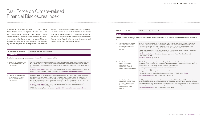### $i$ closure Source

### **Disclose the actual and potential impacts of climate-related risks and opportunities on the organization's businesses, strategy, and financial**

le of our investment activities compared to our footprint as an office-based t portfolio is more relevant than our Firm operations from a climate risk and Therefore, our climate action strategy focuses largely on our investment he varying climate risks of the industries in which we invest.

ed work, we have focused on implementing processes to identify, assess, and isks and opportunities, when relevant.

ort, "Investment Risks and Opportunities," and "Firm-level Risks and

 $.54-55, 76$ 

potential risks and opportunities to our investments, and we are constantly tand both. In response, we have established a climate action strategy, which is iment process and relies on three key pillars:

iderations into our investment processes

ansition i

companies on climate-related issues

Report, Sustainable Investing > Driving Value Creation: [Climate](https://kkresg.com/assets/uploads/pdfs/KKR-2021-Sustainability-Report.pdf#page=22)

rt, "Climate Action Strategy" (pp. 5-6)

the use of climate scenario analysis. With the help of BSR, we ran a pilot hop with our Infrastructure, Real Estate, and Global Macro and Asset Allocation to evaluate how to integrate climate scenario analyses into our processes and to learnings and best practices as our climate strategy matures.

rt, "Climate Scenario Analysis" (pg. 8)

|                                                                                                        |                                                                                                                                                                                                                                                                                                                                                                                                                                                                                                                                                            | over the short-, medium- and                                                                                                                      |
|--------------------------------------------------------------------------------------------------------|------------------------------------------------------------------------------------------------------------------------------------------------------------------------------------------------------------------------------------------------------------------------------------------------------------------------------------------------------------------------------------------------------------------------------------------------------------------------------------------------------------------------------------------------------------|---------------------------------------------------------------------------------------------------------------------------------------------------|
| <b>TCFD Recommended Disclosures</b>                                                                    | KKR Response and/or Disclosure Source                                                                                                                                                                                                                                                                                                                                                                                                                                                                                                                      | long-term.                                                                                                                                        |
| <b>GOVERNANCE</b>                                                                                      |                                                                                                                                                                                                                                                                                                                                                                                                                                                                                                                                                            |                                                                                                                                                   |
|                                                                                                        | Describe the organization's governance around climate-related risks and opportunities.                                                                                                                                                                                                                                                                                                                                                                                                                                                                     |                                                                                                                                                   |
| Describe the Board's oversight<br>of climate-related risks and<br>opportunities.                       | Beginning in 2021, senior executives began to provide regular periodic reports on the Firm's management<br>of ESG issues, including climate change, to the Audit Committee of the Board of Directors of KKR & Co.<br>Inc. In spring 2021, we presented the Firm's climate action strategy to the Audit Committee of the Board of<br>Directors.<br>KKR Climate Action Report, "Responsible Investment Oversight," "Implementation Responsibility" (pp. 2-3)<br>KKR 2021 Sustainability Report, Sustainable Investing > ESG-related Governance and Oversight | Describe the impact of<br>b.<br>climate-related risks<br>and opportunities on the<br>organization's business,<br>strategy and financial planning. |
| Describe management's role<br>in assessing and managing<br>climate-related risks and<br>opportunities. | KKR's senior leaders provide oversight of our ESG integration and responsible investing efforts, including<br>consideration of climate-related matters. Global and regional team members, supported by both internal<br>and external subject-matter experts, collaborate on an integrated approach. In 2021, we expanded our<br>expert network through the formation of KKR's Sustainability Expert Advisory Council (SEAC). The SEAC                                                                                                                      | Describe the resilience of the<br>$C_{\cdot}$                                                                                                     |
|                                                                                                        | brings together third-party experts who advise us on various topic areas including climate.<br>KKR Climate Action Report, "Responsible Investment Oversight," "Implementation Responsibility,"<br>"Collaboration and Partnerships" (pp. 2-4)<br>KKR 2021 Sustainability Report, Introduction > Spotlight: KKR's Sustainability Expert Advisory Council                                                                                                                                                                                                     | organization's strategy, taking<br>into consideration different<br>climate-related scenarios.<br>including a 2°C or lower<br>scenario.            |

|    | <b>TCFD Recommended Disclosures</b>                                                                                                                                      | <b>KKR Response and/or Dis</b>                                                                                                                                                                                                                                          |  |  |  |
|----|--------------------------------------------------------------------------------------------------------------------------------------------------------------------------|-------------------------------------------------------------------------------------------------------------------------------------------------------------------------------------------------------------------------------------------------------------------------|--|--|--|
|    | <b>STRATEGY</b>                                                                                                                                                          |                                                                                                                                                                                                                                                                         |  |  |  |
|    | Disclose the actual and potential impacts of climate-related risk<br>planning where such information is material.                                                        |                                                                                                                                                                                                                                                                         |  |  |  |
| a. | Describe the climate-related<br>risks and opportunities the<br>organization has identified<br>over the short-, medium- and<br>long-term.                                 | Given the significant scale<br>company, our investment<br>opportunity perspective. T<br>activities and considers th<br>As part of our ESG-relate<br>manage climate-related ri<br><b>KKR Climate Action Repor</b><br>Opportunities" (pp. 6-8)<br>KKR 2021 Form 10-K (pp. |  |  |  |
| b. | Describe the impact of<br>climate-related risks<br>and opportunities on the<br>organization's business,<br>strategy and financial planning.                              | Climate change presents<br>working to better underst<br>integrated into our investr<br>Integrate climate consi<br>Invest in the energy tra<br>ш<br>Engage with portfolio o<br>ш<br><b>KKR 2021 Sustainability R</b><br><b>KKR Climate Action Repor</b>                  |  |  |  |
| C. | Describe the resilience of the<br>organization's strategy, taking<br>into consideration different<br>climate-related scenarios.<br>including a 2°C or lower<br>scenario. | In 2020, we began to test<br>scenario analysis worksh<br>teams. We are continuing<br>look for ways to integrate<br><b>KKR Climate Action Repor</b>                                                                                                                      |  |  |  |

In November 2021, KKR published our first Climate Action Report, which is aligned with the Task Force on Climate-related Financial Disclosures (TCFD) recommendations. This report communicates to our investors, partners, shareholders, and other stakeholders our firmwide climate action strategy, including how we identify, assess, integrate, and manage climate-related risks

and opportunities as a global investment Firm. The report documents activities and performance for calendar year 2020 and progress made in 2021, unless otherwise noted, and remains largely relevant. We have supplemented the Climate Action Report with additional information and updates in this report, as described below.

## <span id="page-4-0"></span>Task Force on Climate-related Financial Disclosures Index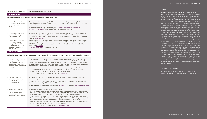<span id="page-5-0"></span>**TCFD Recommended Disclosures KKR Response and/or Disclosure Source**

### RISK MANAGEMENT

### **Disclose how the organization identifies, assesses, and manages climate-related risks.**

| a.             | Describe the organization's<br>processes for identifying and<br>assessing climate-related<br>risks.                                                                  | Our Responsible Investment Policy articulates our approach to identifying and managing ESG risks, including<br>climate-related risks, as well as potential value-creation opportunities across the investment life cycle and<br>across asset classes.<br>KKR 2021 Sustainability Report, Sustainable Investing > ESG Integration Across Asset Classes<br>KKR Climate Action Report, "Pre-Investment" and "Post-Investment" (pp. 10-14) |
|----------------|----------------------------------------------------------------------------------------------------------------------------------------------------------------------|----------------------------------------------------------------------------------------------------------------------------------------------------------------------------------------------------------------------------------------------------------------------------------------------------------------------------------------------------------------------------------------------------------------------------------------|
| b.             | Describe the organization's<br>processes for managing<br>climate-related risks.                                                                                      | Across our investment portfolio, KKR focuses on driving operational and strategic improvements to ESG<br>performance, including climate-related risks, during the investment life cycle. We consider climate as a<br>critical topic for all companies to consider, regardless of sector or geography, and thus have identified it as<br>one of our Global Ambitions.                                                                   |
| C <sub>1</sub> | Describe how processes for<br>identifying, assessing, and<br>managing climate-related<br>risks are integrated into the<br>organization's overall risk<br>management. | At the Firm level, we are committed to promoting environmental stewardship by responsibly managing our<br>operational footprint, including the management and reduction of GHG emissions from our own operations.<br>KKR 2021 Sustainability Report, Sustainable Investing > Driving Value Creation: Climate and Sustainable<br>Operations > Environment<br>KKR Climate Action Report, "Risk Management" (pp. 8-12)                    |

### **METRICS AND TARGETS**

### **Disclose the metrics and targets used to assess and manage relevant climate-related risks and opportunities where such information is material.**

| а.             | Disclose the metrics used by<br>the organization to assess<br>climate-related risks and<br>opportunities in line with its<br>strategy and risk management<br>process. | KKR annually calculates our Firm's GHG emissions footprint including emissions from Scope 1 and 2, and<br>numerous Scope 3 categories. Within our investment activities, we have estimated the Scope 1 and 2 GHG<br>emissions footprints for the following funds as of December 31, 2021: EIGF I and II, Global Infrastructure III,<br>Europe V, Global Impact and Americas XII. Building on these efforts, we are working with third-party experts<br>to estimate the GHG emissions of KKR's public and private markets portfolio.<br>Even as we expand our efforts to measure emissions at our portfolio, we recognize that GHG emissions are<br>not always a perfect proxy for climate-related risk and opportunity. We continue to evaluate the best, and<br>most relevant, indicators for our risk management and investment process.<br>KKR 2021 Sustainability Report, Sustainable Operations > Environment                                                                       |
|----------------|-----------------------------------------------------------------------------------------------------------------------------------------------------------------------|------------------------------------------------------------------------------------------------------------------------------------------------------------------------------------------------------------------------------------------------------------------------------------------------------------------------------------------------------------------------------------------------------------------------------------------------------------------------------------------------------------------------------------------------------------------------------------------------------------------------------------------------------------------------------------------------------------------------------------------------------------------------------------------------------------------------------------------------------------------------------------------------------------------------------------------------------------------------------------------|
|                | b. Disclose Scope 1, Scope 2,<br>and if appropriate, Scope<br>3 Greenhouse Gas (GHG)<br>emissions, and the related<br>risks.                                          | As noted above, KKR conducts a Firm-level GHG emissions footprint annually, as well as GHG emissions<br>footprints for a growing number of selected funds.<br>KKR's 2021 GHG emissions footprint comprises emissions from Scope 1 and Scope 2, as well as numerous<br>Scope 3 categories, totaling 6,786.7 metric tons CO2 equivalent.<br>KKR 2021 Sustainability Report, Sustainable Operations > Environment and Appendix > KKR-level ESG Data Tables                                                                                                                                                                                                                                                                                                                                                                                                                                                                                                                                  |
| C <sub>1</sub> | Describe the targets used<br>by the organization to<br>manage climate-related<br>risks and opportunities and<br>performance against targets.                          | As outlined in our Global Ambitions for climate, KKR intends to:<br>Integrate climate-related risks and opportunities into investment decision-making and management prac-<br>٠.<br>tices. This includes considering climate change risks and opportunities during diligence and engaging on<br>these issues with the companies in which KKR invests or to which KKR provides financing<br>Report on our assets' climate-related activities to fund investors annually, including seeking to provide in-<br>formation on Scope 1 and 2 emissions and certain Scope 3 emissions data, and describing the steps taken by<br>portfolio companies in developing and implementing decarbonization plans, where relevant and available<br>■ Where we are a minority investor, implement a stewardship and engagement strategy consistent with the<br>GHG measurement and decarbonization ambitions described above<br>KKR 2021 Sustainability Report, Sustainable Investing > Global Ambitions |

### **ENDNOTE**

### **Footnote 2. SASB Index: KKR & Co. Inc. – AUM Disclaimer**

References to "assets under management" or "AUM" represent the assets managed, advised or sponsored by KKR from which KKR is entitled to receive management fees or performance income (currently or upon a future event), general partner capital, and assets managed, advised or sponsored by our strategic BDC partnership and the hedge fund and other managers in which KKR holds an ownership interest. We believe this measure is useful to stockholders as it provides additional insight into the capital raising activities of KKR and its hedge fund and other managers and the overall activity in their investment funds and other managed or sponsored capital. KKR calculates the amount of AUM as of any date as the sum of: (i) the fair value of the investments of KKR's investment funds and the Global Atlantic insur ance companies; (ii) uncalled capital commitments from these funds, including uncalled capital commitments from which KKR is currently not earning management fees or performance income; (iii) the fair value of investments in KKR's co-investment vehicles; (iv) the par value of outstanding CLOs; (v) KKR's pro rata portion of the AUM of hedge fund and other managers in which KKR holds an ownership interest; (vi) all AUM of KKR's strategic BDC partnership; and (vii) the fair value of other assets managed or sponsored by KKR. The pro rata portion of the AUM of hedge fund and other managers is calculated based on KKR's percentage ownership interest in such entities multiplied by such enti ty's respective AUM. KKR's definition of AUM (i) is not based on any definition of AUM that may be set forth in the governing documents of the investment funds, vehicles, accounts or other entities whose capital is included in this definition, (ii) includes assets for which KKR does not act as an investment adviser, and (iii) is not calculated pursuant to any regulatory definitions.

### **CAUTIONARY STATEMENT**

Refer to the Cautionary Statement at [kkresg.com/cautionary](https://kkresg.com/cautionary-statement)[statement](https://kkresg.com/cautionary-statement) for defined terms and important information regarding these indices.